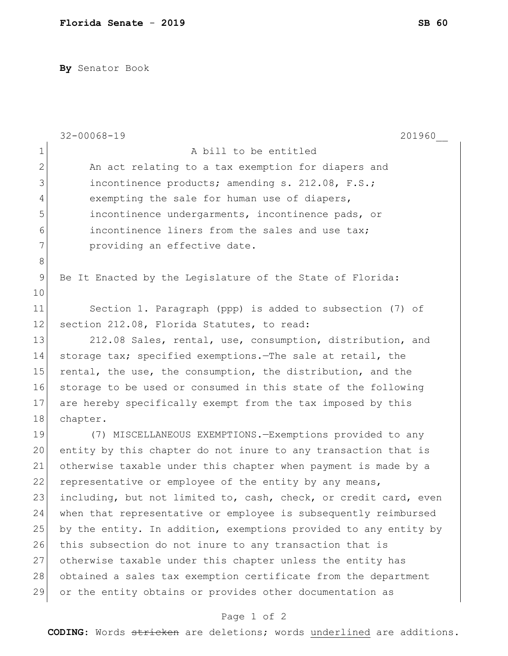**By** Senator Book

|                | $32 - 00068 - 19$<br>201960                                      |
|----------------|------------------------------------------------------------------|
| $\mathbf 1$    | A bill to be entitled                                            |
| $\overline{2}$ | An act relating to a tax exemption for diapers and               |
| 3              | incontinence products; amending s. 212.08, F.S.;                 |
| $\overline{4}$ | exempting the sale for human use of diapers,                     |
| 5              | incontinence undergarments, incontinence pads, or                |
| 6              | incontinence liners from the sales and use tax;                  |
| 7              | providing an effective date.                                     |
| $8\,$          |                                                                  |
| 9              | Be It Enacted by the Legislature of the State of Florida:        |
| 10             |                                                                  |
| 11             | Section 1. Paragraph (ppp) is added to subsection (7) of         |
| 12             | section 212.08, Florida Statutes, to read:                       |
| 13             | 212.08 Sales, rental, use, consumption, distribution, and        |
| 14             | storage tax; specified exemptions. The sale at retail, the       |
| 15             | rental, the use, the consumption, the distribution, and the      |
| 16             | storage to be used or consumed in this state of the following    |
| 17             | are hereby specifically exempt from the tax imposed by this      |
| 18             | chapter.                                                         |
| 19             | (7) MISCELLANEOUS EXEMPTIONS. - Exemptions provided to any       |
| 20             | entity by this chapter do not inure to any transaction that is   |
| 21             | otherwise taxable under this chapter when payment is made by a   |
| 22             | representative or employee of the entity by any means,           |
| 23             | including, but not limited to, cash, check, or credit card, even |
| 24             | when that representative or employee is subsequently reimbursed  |
| 25             | by the entity. In addition, exemptions provided to any entity by |
| 26             | this subsection do not inure to any transaction that is          |
| 27             | otherwise taxable under this chapter unless the entity has       |
| 28             | obtained a sales tax exemption certificate from the department   |
| 29             | or the entity obtains or provides other documentation as         |
|                |                                                                  |

## Page 1 of 2

**CODING**: Words stricken are deletions; words underlined are additions.